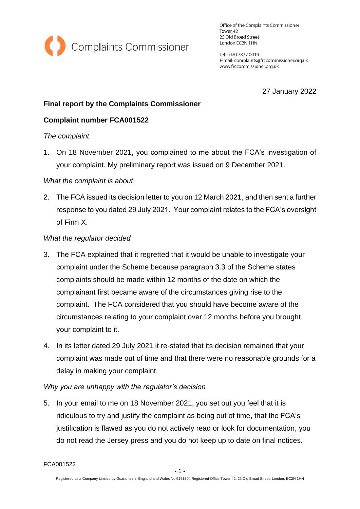

Office of the Complaints Commissioner Tower 42 25 Old Broad Street London EC2N 1HN

Tel: 020 7877 0019 E-mail: complaints@frccommissioner.org.uk www.frccommissioner.org.uk

27 January 2022

# **Final report by the Complaints Commissioner**

# **Complaint number FCA001522**

### *The complaint*

1. On 18 November 2021, you complained to me about the FCA's investigation of your complaint. My preliminary report was issued on 9 December 2021.

### *What the complaint is about*

2. The FCA issued its decision letter to you on 12 March 2021, and then sent a further response to you dated 29 July 2021. Your complaint relates to the FCA's oversight of Firm X.

### *What the regulator decided*

- 3. The FCA explained that it regretted that it would be unable to investigate your complaint under the Scheme because paragraph 3.3 of the Scheme states complaints should be made within 12 months of the date on which the complainant first became aware of the circumstances giving rise to the complaint. The FCA considered that you should have become aware of the circumstances relating to your complaint over 12 months before you brought your complaint to it.
- 4. In its letter dated 29 July 2021 it re-stated that its decision remained that your complaint was made out of time and that there were no reasonable grounds for a delay in making your complaint.

### *Why you are unhappy with the regulator's decision*

5. In your email to me on 18 November 2021, you set out you feel that it is ridiculous to try and justify the complaint as being out of time, that the FCA's justification is flawed as you do not actively read or look for documentation, you do not read the Jersey press and you do not keep up to date on final notices.

FCA001522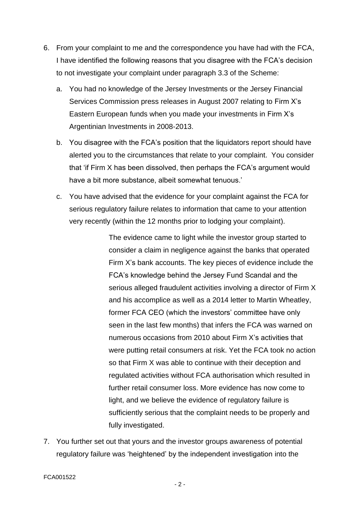- 6. From your complaint to me and the correspondence you have had with the FCA, I have identified the following reasons that you disagree with the FCA's decision to not investigate your complaint under paragraph 3.3 of the Scheme:
	- a. You had no knowledge of the Jersey Investments or the Jersey Financial Services Commission press releases in August 2007 relating to Firm X's Eastern European funds when you made your investments in Firm X's Argentinian Investments in 2008-2013.
	- b. You disagree with the FCA's position that the liquidators report should have alerted you to the circumstances that relate to your complaint. You consider that 'if Firm X has been dissolved, then perhaps the FCA's argument would have a bit more substance, albeit somewhat tenuous.'
	- c. You have advised that the evidence for your complaint against the FCA for serious regulatory failure relates to information that came to your attention very recently (within the 12 months prior to lodging your complaint).

The evidence came to light while the investor group started to consider a claim in negligence against the banks that operated Firm X's bank accounts. The key pieces of evidence include the FCA's knowledge behind the Jersey Fund Scandal and the serious alleged fraudulent activities involving a director of Firm X and his accomplice as well as a 2014 letter to Martin Wheatley, former FCA CEO (which the investors' committee have only seen in the last few months) that infers the FCA was warned on numerous occasions from 2010 about Firm X's activities that were putting retail consumers at risk. Yet the FCA took no action so that Firm X was able to continue with their deception and regulated activities without FCA authorisation which resulted in further retail consumer loss. More evidence has now come to light, and we believe the evidence of regulatory failure is sufficiently serious that the complaint needs to be properly and fully investigated.

7. You further set out that yours and the investor groups awareness of potential regulatory failure was 'heightened' by the independent investigation into the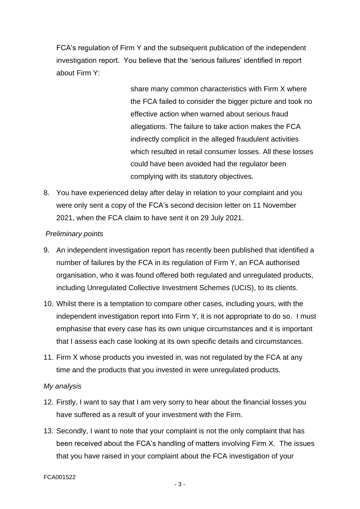FCA's regulation of Firm Y and the subsequent publication of the independent investigation report. You believe that the 'serious failures' identified in report about Firm Y:

> share many common characteristics with Firm X where the FCA failed to consider the bigger picture and took no effective action when warned about serious fraud allegations. The failure to take action makes the FCA indirectly complicit in the alleged fraudulent activities which resulted in retail consumer losses. All these losses could have been avoided had the regulator been complying with its statutory objectives.

8. You have experienced delay after delay in relation to your complaint and you were only sent a copy of the FCA's second decision letter on 11 November 2021, when the FCA claim to have sent it on 29 July 2021.

## *Preliminary points*

- 9. An independent investigation report has recently been published that identified a number of failures by the FCA in its regulation of Firm Y, an FCA authorised organisation, who it was found offered both regulated and unregulated products, including Unregulated Collective Investment Schemes (UCIS), to its clients.
- 10. Whilst there is a temptation to compare other cases, including yours, with the independent investigation report into Firm Y, it is not appropriate to do so. I must emphasise that every case has its own unique circumstances and it is important that I assess each case looking at its own specific details and circumstances.
- 11. Firm X whose products you invested in, was not regulated by the FCA at any time and the products that you invested in were unregulated products.

### *My analysis*

- 12. Firstly, I want to say that I am very sorry to hear about the financial losses you have suffered as a result of your investment with the Firm.
- 13. Secondly, I want to note that your complaint is not the only complaint that has been received about the FCA's handling of matters involving Firm X. The issues that you have raised in your complaint about the FCA investigation of your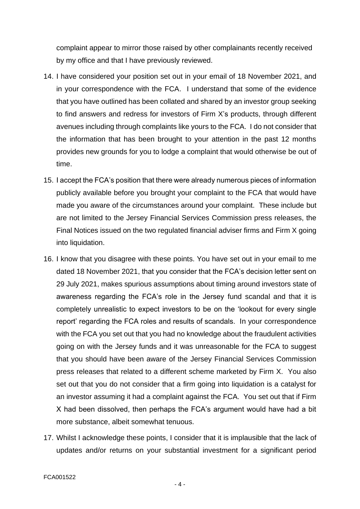complaint appear to mirror those raised by other complainants recently received by my office and that I have previously reviewed.

- 14. I have considered your position set out in your email of 18 November 2021, and in your correspondence with the FCA. I understand that some of the evidence that you have outlined has been collated and shared by an investor group seeking to find answers and redress for investors of Firm X's products, through different avenues including through complaints like yours to the FCA. I do not consider that the information that has been brought to your attention in the past 12 months provides new grounds for you to lodge a complaint that would otherwise be out of time.
- 15. I accept the FCA's position that there were already numerous pieces of information publicly available before you brought your complaint to the FCA that would have made you aware of the circumstances around your complaint. These include but are not limited to the Jersey Financial Services Commission press releases, the Final Notices issued on the two regulated financial adviser firms and Firm X going into liquidation.
- 16. I know that you disagree with these points. You have set out in your email to me dated 18 November 2021, that you consider that the FCA's decision letter sent on 29 July 2021, makes spurious assumptions about timing around investors state of awareness regarding the FCA's role in the Jersey fund scandal and that it is completely unrealistic to expect investors to be on the 'lookout for every single report' regarding the FCA roles and results of scandals. In your correspondence with the FCA you set out that you had no knowledge about the fraudulent activities going on with the Jersey funds and it was unreasonable for the FCA to suggest that you should have been aware of the Jersey Financial Services Commission press releases that related to a different scheme marketed by Firm X. You also set out that you do not consider that a firm going into liquidation is a catalyst for an investor assuming it had a complaint against the FCA. You set out that if Firm X had been dissolved, then perhaps the FCA's argument would have had a bit more substance, albeit somewhat tenuous.
- 17. Whilst I acknowledge these points, I consider that it is implausible that the lack of updates and/or returns on your substantial investment for a significant period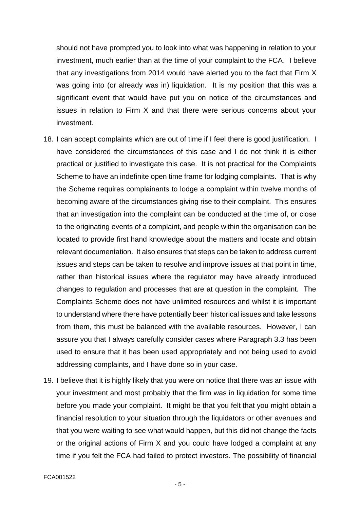should not have prompted you to look into what was happening in relation to your investment, much earlier than at the time of your complaint to the FCA. I believe that any investigations from 2014 would have alerted you to the fact that Firm X was going into (or already was in) liquidation. It is my position that this was a significant event that would have put you on notice of the circumstances and issues in relation to Firm X and that there were serious concerns about your investment.

- 18. I can accept complaints which are out of time if I feel there is good justification. I have considered the circumstances of this case and I do not think it is either practical or justified to investigate this case. It is not practical for the Complaints Scheme to have an indefinite open time frame for lodging complaints. That is why the Scheme requires complainants to lodge a complaint within twelve months of becoming aware of the circumstances giving rise to their complaint. This ensures that an investigation into the complaint can be conducted at the time of, or close to the originating events of a complaint, and people within the organisation can be located to provide first hand knowledge about the matters and locate and obtain relevant documentation. It also ensures that steps can be taken to address current issues and steps can be taken to resolve and improve issues at that point in time, rather than historical issues where the regulator may have already introduced changes to regulation and processes that are at question in the complaint. The Complaints Scheme does not have unlimited resources and whilst it is important to understand where there have potentially been historical issues and take lessons from them, this must be balanced with the available resources. However, I can assure you that I always carefully consider cases where Paragraph 3.3 has been used to ensure that it has been used appropriately and not being used to avoid addressing complaints, and I have done so in your case.
- 19. I believe that it is highly likely that you were on notice that there was an issue with your investment and most probably that the firm was in liquidation for some time before you made your complaint. It might be that you felt that you might obtain a financial resolution to your situation through the liquidators or other avenues and that you were waiting to see what would happen, but this did not change the facts or the original actions of Firm X and you could have lodged a complaint at any time if you felt the FCA had failed to protect investors. The possibility of financial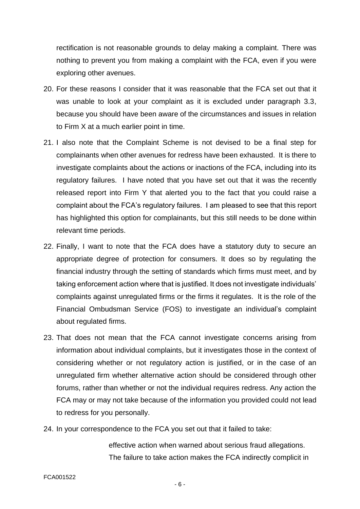rectification is not reasonable grounds to delay making a complaint. There was nothing to prevent you from making a complaint with the FCA, even if you were exploring other avenues.

- 20. For these reasons I consider that it was reasonable that the FCA set out that it was unable to look at your complaint as it is excluded under paragraph 3.3, because you should have been aware of the circumstances and issues in relation to Firm X at a much earlier point in time.
- 21. I also note that the Complaint Scheme is not devised to be a final step for complainants when other avenues for redress have been exhausted. It is there to investigate complaints about the actions or inactions of the FCA, including into its regulatory failures. I have noted that you have set out that it was the recently released report into Firm Y that alerted you to the fact that you could raise a complaint about the FCA's regulatory failures. I am pleased to see that this report has highlighted this option for complainants, but this still needs to be done within relevant time periods.
- 22. Finally, I want to note that the FCA does have a statutory duty to secure an appropriate degree of protection for consumers. It does so by regulating the financial industry through the setting of standards which firms must meet, and by taking enforcement action where that is justified. It does not investigate individuals' complaints against unregulated firms or the firms it regulates. It is the role of the Financial Ombudsman Service (FOS) to investigate an individual's complaint about regulated firms.
- 23. That does not mean that the FCA cannot investigate concerns arising from information about individual complaints, but it investigates those in the context of considering whether or not regulatory action is justified, or in the case of an unregulated firm whether alternative action should be considered through other forums, rather than whether or not the individual requires redress. Any action the FCA may or may not take because of the information you provided could not lead to redress for you personally.
- 24. In your correspondence to the FCA you set out that it failed to take:

effective action when warned about serious fraud allegations. The failure to take action makes the FCA indirectly complicit in

#### FCA001522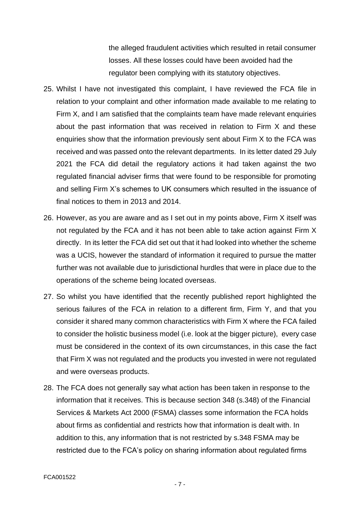the alleged fraudulent activities which resulted in retail consumer losses. All these losses could have been avoided had the regulator been complying with its statutory objectives.

- 25. Whilst I have not investigated this complaint, I have reviewed the FCA file in relation to your complaint and other information made available to me relating to Firm X, and I am satisfied that the complaints team have made relevant enquiries about the past information that was received in relation to Firm X and these enquiries show that the information previously sent about Firm X to the FCA was received and was passed onto the relevant departments. In its letter dated 29 July 2021 the FCA did detail the regulatory actions it had taken against the two regulated financial adviser firms that were found to be responsible for promoting and selling Firm X's schemes to UK consumers which resulted in the issuance of final notices to them in 2013 and 2014.
- 26. However, as you are aware and as I set out in my points above, Firm X itself was not regulated by the FCA and it has not been able to take action against Firm X directly. In its letter the FCA did set out that it had looked into whether the scheme was a UCIS, however the standard of information it required to pursue the matter further was not available due to jurisdictional hurdles that were in place due to the operations of the scheme being located overseas.
- 27. So whilst you have identified that the recently published report highlighted the serious failures of the FCA in relation to a different firm, Firm Y, and that you consider it shared many common characteristics with Firm X where the FCA failed to consider the holistic business model (i.e. look at the bigger picture), every case must be considered in the context of its own circumstances, in this case the fact that Firm X was not regulated and the products you invested in were not regulated and were overseas products.
- 28. The FCA does not generally say what action has been taken in response to the information that it receives. This is because section 348 (s.348) of the Financial Services & Markets Act 2000 (FSMA) classes some information the FCA holds about firms as confidential and restricts how that information is dealt with. In addition to this, any information that is not restricted by s.348 FSMA may be restricted due to the FCA's policy on sharing information about regulated firms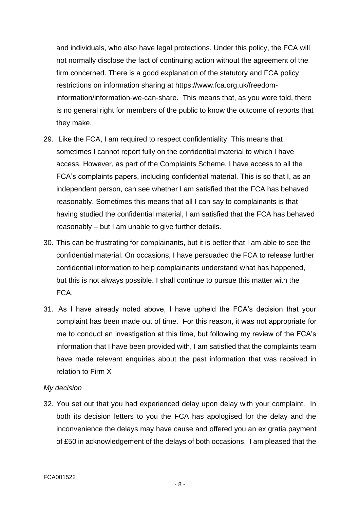and individuals, who also have legal protections. Under this policy, the FCA will not normally disclose the fact of continuing action without the agreement of the firm concerned. There is a good explanation of the statutory and FCA policy restrictions on information sharing at https://www.fca.org.uk/freedominformation/information-we-can-share. This means that, as you were told, there is no general right for members of the public to know the outcome of reports that they make.

- 29. Like the FCA, I am required to respect confidentiality. This means that sometimes I cannot report fully on the confidential material to which I have access. However, as part of the Complaints Scheme, I have access to all the FCA's complaints papers, including confidential material. This is so that I, as an independent person, can see whether I am satisfied that the FCA has behaved reasonably. Sometimes this means that all I can say to complainants is that having studied the confidential material, I am satisfied that the FCA has behaved reasonably – but I am unable to give further details.
- 30. This can be frustrating for complainants, but it is better that I am able to see the confidential material. On occasions, I have persuaded the FCA to release further confidential information to help complainants understand what has happened, but this is not always possible. I shall continue to pursue this matter with the FCA.
- 31. As I have already noted above, I have upheld the FCA's decision that your complaint has been made out of time. For this reason, it was not appropriate for me to conduct an investigation at this time, but following my review of the FCA's information that I have been provided with, I am satisfied that the complaints team have made relevant enquiries about the past information that was received in relation to Firm X

### *My decision*

32. You set out that you had experienced delay upon delay with your complaint. In both its decision letters to you the FCA has apologised for the delay and the inconvenience the delays may have cause and offered you an ex gratia payment of £50 in acknowledgement of the delays of both occasions. I am pleased that the